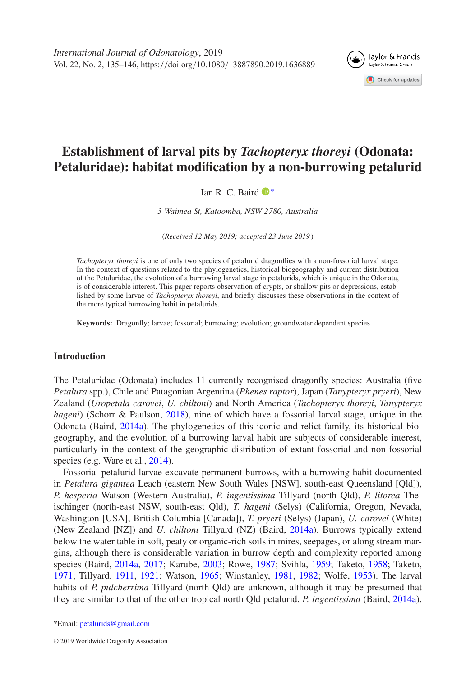

# **Establishment of larval pits by** *Tachopteryx thoreyi* **(Odonata: Petaluridae): habitat modification by a non-burrowing petalurid**

# Ian R. C. Baird <sup>D<sup>\*</sup></sup>

*3 Waimea St, Katoomba, NSW 2780, Australia*

(*Received 12 May 2019; accepted 23 June 2019* )

*Tachopteryx thoreyi* is one of only two species of petalurid dragonflies with a non-fossorial larval stage. In the context of questions related to the phylogenetics, historical biogeography and current distribution of the Petaluridae, the evolution of a burrowing larval stage in petalurids, which is unique in the Odonata, is of considerable interest. This paper reports observation of crypts, or shallow pits or depressions, established by some larvae of *Tachopteryx thoreyi*, and briefly discusses these observations in the context of the more typical burrowing habit in petalurids.

**Keywords:** Dragonfly; larvae; fossorial; burrowing; evolution; groundwater dependent species

# **Introduction**

The Petaluridae (Odonata) includes 11 currently recognised dragonfly species: Australia (five *Petalura* spp.), Chile and Patagonian Argentina (*Phenes raptor*), Japan (*Tanypteryx pryeri*), New Zealand (*Uropetala carovei*, *U. chiltoni*) and North America (*Tachopteryx thoreyi*, *Tanypteryx hageni*) (Schorr & Paulson, [2018\)](#page-11-0), nine of which have a fossorial larval stage, unique in the Odonata (Baird, [2014a\)](#page-10-0). The phylogenetics of this iconic and relict family, its historical biogeography, and the evolution of a burrowing larval habit are subjects of considerable interest, particularly in the context of the geographic distribution of extant fossorial and non-fossorial species (e.g. Ware et al., [2014\)](#page-11-1).

Fossorial petalurid larvae excavate permanent burrows, with a burrowing habit documented in *Petalura gigantea* Leach (eastern New South Wales [NSW], south-east Queensland [Qld]), *P. hesperia* Watson (Western Australia), *P. ingentissima* Tillyard (north Qld), *P. litorea* Theischinger (north-east NSW, south-east Qld), *T. hageni* (Selys) (California, Oregon, Nevada, Washington [USA], British Columbia [Canada]), *T. pryeri* (Selys) (Japan), *U. carovei* (White) (New Zealand [NZ]) and *U. chiltoni* Tillyard (NZ) (Baird, [2014a\)](#page-10-0). Burrows typically extend below the water table in soft, peaty or organic-rich soils in mires, seepages, or along stream margins, although there is considerable variation in burrow depth and complexity reported among species (Baird, [2014a,](#page-10-0) [2017;](#page-10-1) Karube, [2003;](#page-10-2) Rowe, [1987;](#page-10-3) Svihla, [1959;](#page-11-2) Taketo, [1958;](#page-11-3) Taketo, [1971;](#page-11-4) Tillyard, [1911,](#page-11-5) [1921;](#page-11-6) Watson, [1965;](#page-11-7) Winstanley, [1981,](#page-11-8) [1982;](#page-11-9) Wolfe, [1953\)](#page-11-10). The larval habits of *P. pulcherrima* Tillyard (north Qld) are unknown, although it may be presumed that they are similar to that of the other tropical north Qld petalurid, *P. ingentissima* (Baird, [2014a\)](#page-10-0).

<span id="page-0-0"></span><sup>\*</sup>Email: [petalurids@gmail.com](mailto:petalurids@gmail.com)

<sup>© 2019</sup> Worldwide Dragonfly Association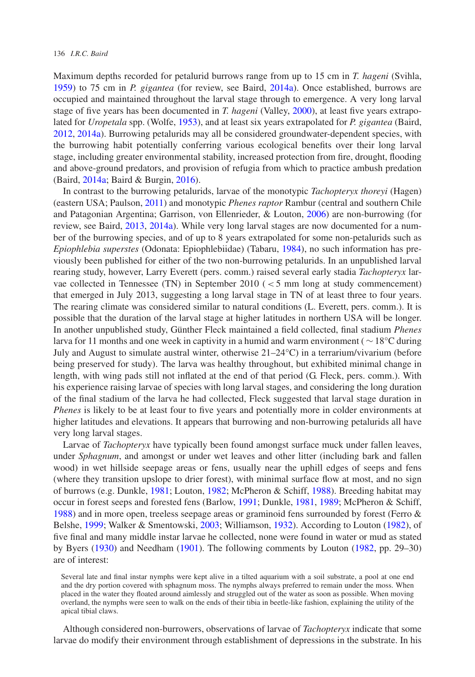Maximum depths recorded for petalurid burrows range from up to 15 cm in *T. hageni* (Svihla, [1959\)](#page-11-2) to 75 cm in *P. gigantea* (for review, see Baird, [2014a\)](#page-10-0). Once established, burrows are occupied and maintained throughout the larval stage through to emergence. A very long larval stage of five years has been documented in *T. hageni* (Valley, [2000\)](#page-11-11), at least five years extrapolated for *Uropetala* spp. (Wolfe, [1953\)](#page-11-10), and at least six years extrapolated for *P. gigantea* (Baird, [2012,](#page-9-0) [2014a\)](#page-10-0). Burrowing petalurids may all be considered groundwater-dependent species, with the burrowing habit potentially conferring various ecological benefits over their long larval stage, including greater environmental stability, increased protection from fire, drought, flooding and above-ground predators, and provision of refugia from which to practice ambush predation (Baird, [2014a;](#page-10-0) Baird & Burgin, [2016\)](#page-10-4).

In contrast to the burrowing petalurids, larvae of the monotypic *Tachopteryx thoreyi* (Hagen) (eastern USA; Paulson, [2011\)](#page-10-5) and monotypic *Phenes raptor* Rambur (central and southern Chile and Patagonian Argentina; Garrison, von Ellenrieder, & Louton, [2006\)](#page-10-6) are non-burrowing (for review, see Baird, [2013,](#page-10-7) [2014a\)](#page-10-0). While very long larval stages are now documented for a number of the burrowing species, and of up to 8 years extrapolated for some non-petalurids such as *Epiophlebia superstes* (Odonata: Epiophlebiidae) (Tabaru, [1984\)](#page-11-12), no such information has previously been published for either of the two non-burrowing petalurids. In an unpublished larval rearing study, however, Larry Everett (pers. comm.) raised several early stadia *Tachopteryx* larvae collected in Tennessee (TN) in September 2010 (*<*5 mm long at study commencement) that emerged in July 2013, suggesting a long larval stage in TN of at least three to four years. The rearing climate was considered similar to natural conditions (L. Everett, pers. comm.). It is possible that the duration of the larval stage at higher latitudes in northern USA will be longer. In another unpublished study, Günther Fleck maintained a field collected, final stadium *Phenes* larva for 11 months and one week in captivity in a humid and warm environment (∼18°C during July and August to simulate austral winter, otherwise  $21-24$ °C) in a terrarium/vivarium (before being preserved for study). The larva was healthy throughout, but exhibited minimal change in length, with wing pads still not inflated at the end of that period (G. Fleck, pers. comm.). With his experience raising larvae of species with long larval stages, and considering the long duration of the final stadium of the larva he had collected, Fleck suggested that larval stage duration in *Phenes* is likely to be at least four to five years and potentially more in colder environments at higher latitudes and elevations. It appears that burrowing and non-burrowing petalurids all have very long larval stages.

Larvae of *Tachopteryx* have typically been found amongst surface muck under fallen leaves, under *Sphagnum*, and amongst or under wet leaves and other litter (including bark and fallen wood) in wet hillside seepage areas or fens, usually near the uphill edges of seeps and fens (where they transition upslope to drier forest), with minimal surface flow at most, and no sign of burrows (e.g. Dunkle, [1981;](#page-10-8) Louton, [1982;](#page-10-9) McPheron & Schiff, [1988\)](#page-10-10). Breeding habitat may occur in forest seeps and forested fens (Barlow, [1991;](#page-10-11) Dunkle, [1981,](#page-10-8) [1989;](#page-10-12) McPheron & Schiff, [1988\)](#page-10-10) and in more open, treeless seepage areas or graminoid fens surrounded by forest (Ferro & Belshe, [1999;](#page-10-13) Walker & Smentowski, [2003;](#page-11-13) Williamson, [1932\)](#page-11-14). According to Louton [\(1982\)](#page-10-9), of five final and many middle instar larvae he collected, none were found in water or mud as stated by Byers [\(1930\)](#page-10-14) and Needham [\(1901\)](#page-10-15). The following comments by Louton [\(1982,](#page-10-9) pp. 29–30) are of interest:

Several late and final instar nymphs were kept alive in a tilted aquarium with a soil substrate, a pool at one end and the dry portion covered with sphagnum moss. The nymphs always preferred to remain under the moss. When placed in the water they floated around aimlessly and struggled out of the water as soon as possible. When moving overland, the nymphs were seen to walk on the ends of their tibia in beetle-like fashion, explaining the utility of the apical tibial claws.

Although considered non-burrowers, observations of larvae of *Tachopteryx* indicate that some larvae do modify their environment through establishment of depressions in the substrate. In his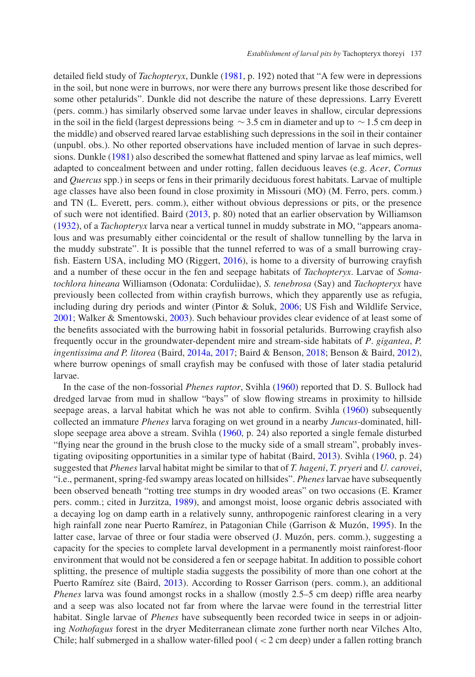detailed field study of *Tachopteryx*, Dunkle [\(1981,](#page-10-8) p. 192) noted that "A few were in depressions in the soil, but none were in burrows, nor were there any burrows present like those described for some other petalurids". Dunkle did not describe the nature of these depressions. Larry Everett (pers. comm.) has similarly observed some larvae under leaves in shallow, circular depressions in the soil in the field (largest depressions being  $\sim$  3.5 cm in diameter and up to  $\sim$  1.5 cm deep in the middle) and observed reared larvae establishing such depressions in the soil in their container (unpubl. obs.). No other reported observations have included mention of larvae in such depressions. Dunkle [\(1981\)](#page-10-8) also described the somewhat flattened and spiny larvae as leaf mimics, well adapted to concealment between and under rotting, fallen deciduous leaves (e.g. *Acer*, *Cornus* and *Quercus* spp.) in seeps or fens in their primarily deciduous forest habitats. Larvae of multiple age classes have also been found in close proximity in Missouri (MO) (M. Ferro, pers. comm.) and TN (L. Everett, pers. comm.), either without obvious depressions or pits, or the presence of such were not identified. Baird [\(2013,](#page-10-7) p. 80) noted that an earlier observation by Williamson [\(1932\)](#page-11-14), of a *Tachopteryx* larva near a vertical tunnel in muddy substrate in MO, "appears anomalous and was presumably either coincidental or the result of shallow tunnelling by the larva in the muddy substrate". It is possible that the tunnel referred to was of a small burrowing cray-fish. Eastern USA, including MO (Riggert, [2016\)](#page-10-16), is home to a diversity of burrowing crayfish and a number of these occur in the fen and seepage habitats of *Tachopteryx*. Larvae of *Somatochlora hineana* Williamson (Odonata: Corduliidae), *S. tenebrosa* (Say) and *Tachopteryx* have previously been collected from within crayfish burrows, which they apparently use as refugia, including during dry periods and winter (Pintor  $&$  Soluk, [2006;](#page-10-17) US Fish and Wildlife Service, [2001;](#page-11-15) Walker & Smentowski, [2003\)](#page-11-13). Such behaviour provides clear evidence of at least some of the benefits associated with the burrowing habit in fossorial petalurids. Burrowing crayfish also frequently occur in the groundwater-dependent mire and stream-side habitats of *P*. *gigantea*, *P. ingentissima and P. litorea* (Baird, [2014a,](#page-10-0) [2017;](#page-10-1) Baird & Benson, [2018;](#page-10-18) Benson & Baird, [2012\)](#page-10-19), where burrow openings of small crayfish may be confused with those of later stadia petalurid larvae.

In the case of the non-fossorial *Phenes raptor*, Svihla [\(1960\)](#page-11-16) reported that D. S. Bullock had dredged larvae from mud in shallow "bays" of slow flowing streams in proximity to hillside seepage areas, a larval habitat which he was not able to confirm. Svihla [\(1960\)](#page-11-16) subsequently collected an immature *Phenes* larva foraging on wet ground in a nearby *Juncus*-dominated, hill-slope seepage area above a stream. Svihla [\(1960,](#page-11-16) p. 24) also reported a single female disturbed "flying near the ground in the brush close to the mucky side of a small stream", probably investigating ovipositing opportunities in a similar type of habitat (Baird, [2013\)](#page-10-7). Svihla [\(1960,](#page-11-16) p. 24) suggested that *Phenes* larval habitat might be similar to that of *T. hageni*, *T. pryeri* and *U. carovei*, "i.e., permanent, spring-fed swampy areas located on hillsides". *Phenes* larvae have subsequently been observed beneath "rotting tree stumps in dry wooded areas" on two occasions (E. Kramer pers. comm.; cited in Jurzitza, [1989\)](#page-10-20), and amongst moist, loose organic debris associated with a decaying log on damp earth in a relatively sunny, anthropogenic rainforest clearing in a very high rainfall zone near Puerto Ramírez, in Patagonian Chile (Garrison & Muzón, [1995\)](#page-10-21). In the latter case, larvae of three or four stadia were observed (J. Muzón, pers. comm.), suggesting a capacity for the species to complete larval development in a permanently moist rainforest-floor environment that would not be considered a fen or seepage habitat. In addition to possible cohort splitting, the presence of multiple stadia suggests the possibility of more than one cohort at the Puerto Ramírez site (Baird, [2013\)](#page-10-7). According to Rosser Garrison (pers. comm.), an additional *Phenes* larva was found amongst rocks in a shallow (mostly 2.5–5 cm deep) riffle area nearby and a seep was also located not far from where the larvae were found in the terrestrial litter habitat. Single larvae of *Phenes* have subsequently been recorded twice in seeps in or adjoining *Nothofagus* forest in the dryer Mediterranean climate zone further north near Vilches Alto, Chile; half submerged in a shallow water-filled pool (*<*2 cm deep) under a fallen rotting branch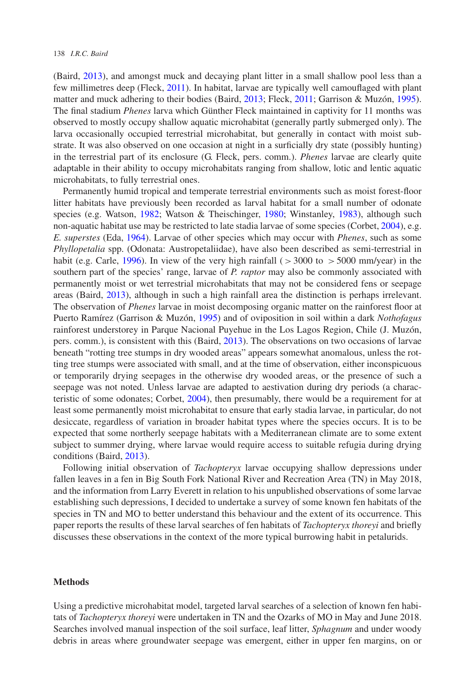(Baird, [2013\)](#page-10-7), and amongst muck and decaying plant litter in a small shallow pool less than a few millimetres deep (Fleck, [2011\)](#page-10-22). In habitat, larvae are typically well camouflaged with plant matter and muck adhering to their bodies (Baird, [2013;](#page-10-7) Fleck, [2011;](#page-10-22) Garrison & Muzón, [1995\)](#page-10-21). The final stadium *Phenes* larva which Günther Fleck maintained in captivity for 11 months was observed to mostly occupy shallow aquatic microhabitat (generally partly submerged only). The larva occasionally occupied terrestrial microhabitat, but generally in contact with moist substrate. It was also observed on one occasion at night in a surficially dry state (possibly hunting) in the terrestrial part of its enclosure (G. Fleck, pers. comm.). *Phenes* larvae are clearly quite adaptable in their ability to occupy microhabitats ranging from shallow, lotic and lentic aquatic microhabitats, to fully terrestrial ones.

Permanently humid tropical and temperate terrestrial environments such as moist forest-floor litter habitats have previously been recorded as larval habitat for a small number of odonate species (e.g. Watson, [1982;](#page-11-17) Watson & Theischinger, [1980;](#page-11-18) Winstanley, [1983\)](#page-11-19), although such non-aquatic habitat use may be restricted to late stadia larvae of some species (Corbet, [2004\)](#page-10-23), e.g. *E. superstes* (Eda, [1964\)](#page-10-24). Larvae of other species which may occur with *Phenes*, such as some *Phyllopetalia* spp. (Odonata: Austropetaliidae), have also been described as semi-terrestrial in habit (e.g. Carle, [1996\)](#page-10-25). In view of the very high rainfall (*>*3000 to *>*5000 mm/year) in the southern part of the species' range, larvae of *P. raptor* may also be commonly associated with permanently moist or wet terrestrial microhabitats that may not be considered fens or seepage areas (Baird, [2013\)](#page-10-7), although in such a high rainfall area the distinction is perhaps irrelevant. The observation of *Phenes* larvae in moist decomposing organic matter on the rainforest floor at Puerto Ramírez (Garrison & Muzón, [1995\)](#page-10-21) and of oviposition in soil within a dark *Nothofagus* rainforest understorey in Parque Nacional Puyehue in the Los Lagos Region, Chile (J. Muzón, pers. comm.), is consistent with this (Baird, [2013\)](#page-10-7). The observations on two occasions of larvae beneath "rotting tree stumps in dry wooded areas" appears somewhat anomalous, unless the rotting tree stumps were associated with small, and at the time of observation, either inconspicuous or temporarily drying seepages in the otherwise dry wooded areas, or the presence of such a seepage was not noted. Unless larvae are adapted to aestivation during dry periods (a characteristic of some odonates; Corbet, [2004\)](#page-10-23), then presumably, there would be a requirement for at least some permanently moist microhabitat to ensure that early stadia larvae, in particular, do not desiccate, regardless of variation in broader habitat types where the species occurs. It is to be expected that some northerly seepage habitats with a Mediterranean climate are to some extent subject to summer drying, where larvae would require access to suitable refugia during drying conditions (Baird, [2013\)](#page-10-7).

Following initial observation of *Tachopteryx* larvae occupying shallow depressions under fallen leaves in a fen in Big South Fork National River and Recreation Area (TN) in May 2018, and the information from Larry Everett in relation to his unpublished observations of some larvae establishing such depressions, I decided to undertake a survey of some known fen habitats of the species in TN and MO to better understand this behaviour and the extent of its occurrence. This paper reports the results of these larval searches of fen habitats of *Tachopteryx thoreyi* and briefly discusses these observations in the context of the more typical burrowing habit in petalurids.

## **Methods**

Using a predictive microhabitat model, targeted larval searches of a selection of known fen habitats of *Tachopteryx thoreyi* were undertaken in TN and the Ozarks of MO in May and June 2018. Searches involved manual inspection of the soil surface, leaf litter, *Sphagnum* and under woody debris in areas where groundwater seepage was emergent, either in upper fen margins, on or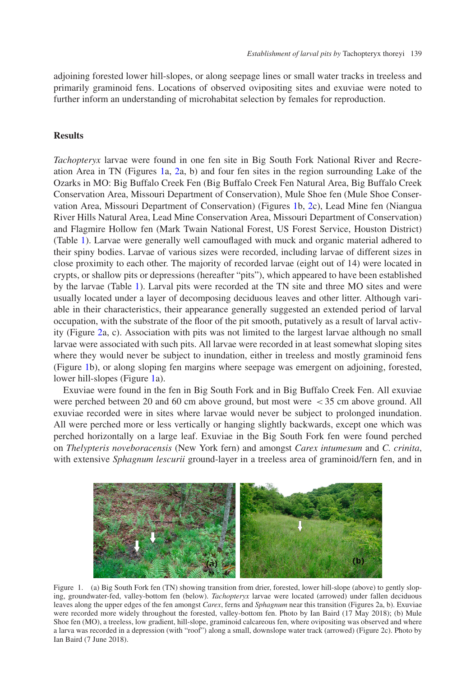adjoining forested lower hill-slopes, or along seepage lines or small water tracks in treeless and primarily graminoid fens. Locations of observed ovipositing sites and exuviae were noted to further inform an understanding of microhabitat selection by females for reproduction.

# **Results**

*Tachopteryx* larvae were found in one fen site in Big South Fork National River and Recreation Area in TN (Figures [1a](#page-4-0), [2a](#page-5-0), b) and four fen sites in the region surrounding Lake of the Ozarks in MO: Big Buffalo Creek Fen (Big Buffalo Creek Fen Natural Area, Big Buffalo Creek Conservation Area, Missouri Department of Conservation), Mule Shoe fen (Mule Shoe Conservation Area, Missouri Department of Conservation) (Figures [1b](#page-4-0), [2c](#page-5-0)), Lead Mine fen (Niangua River Hills Natural Area, Lead Mine Conservation Area, Missouri Department of Conservation) and Flagmire Hollow fen (Mark Twain National Forest, US Forest Service, Houston District) (Table [1\)](#page-5-1). Larvae were generally well camouflaged with muck and organic material adhered to their spiny bodies. Larvae of various sizes were recorded, including larvae of different sizes in close proximity to each other. The majority of recorded larvae (eight out of 14) were located in crypts, or shallow pits or depressions (hereafter "pits"), which appeared to have been established by the larvae (Table [1\)](#page-5-1). Larval pits were recorded at the TN site and three MO sites and were usually located under a layer of decomposing deciduous leaves and other litter. Although variable in their characteristics, their appearance generally suggested an extended period of larval occupation, with the substrate of the floor of the pit smooth, putatively as a result of larval activity (Figure [2a](#page-5-0), c). Association with pits was not limited to the largest larvae although no small larvae were associated with such pits. All larvae were recorded in at least somewhat sloping sites where they would never be subject to inundation, either in treeless and mostly graminoid fens (Figure [1b](#page-4-0)), or along sloping fen margins where seepage was emergent on adjoining, forested, lower hill-slopes (Figure [1a](#page-4-0)).

Exuviae were found in the fen in Big South Fork and in Big Buffalo Creek Fen. All exuviae were perched between 20 and 60 cm above ground, but most were *<*35 cm above ground. All exuviae recorded were in sites where larvae would never be subject to prolonged inundation. All were perched more or less vertically or hanging slightly backwards, except one which was perched horizontally on a large leaf. Exuviae in the Big South Fork fen were found perched on *Thelypteris noveboracensis* (New York fern) and amongst *Carex intumesum* and *C. crinita*, with extensive *Sphagnum lescurii* ground-layer in a treeless area of graminoid/fern fen, and in



<span id="page-4-0"></span>Figure 1. (a) Big South Fork fen (TN) showing transition from drier, forested, lower hill-slope (above) to gently sloping, groundwater-fed, valley-bottom fen (below). *Tachopteryx* larvae were located (arrowed) under fallen deciduous leaves along the upper edges of the fen amongst *Carex*, ferns and *Sphagnum* near this transition (Figures 2a, b). Exuviae were recorded more widely throughout the forested, valley-bottom fen. Photo by Ian Baird (17 May 2018); (b) Mule Shoe fen (MO), a treeless, low gradient, hill-slope, graminoid calcareous fen, where ovipositing was observed and where a larva was recorded in a depression (with "roof") along a small, downslope water track (arrowed) (Figure 2c). Photo by Ian Baird (7 June 2018).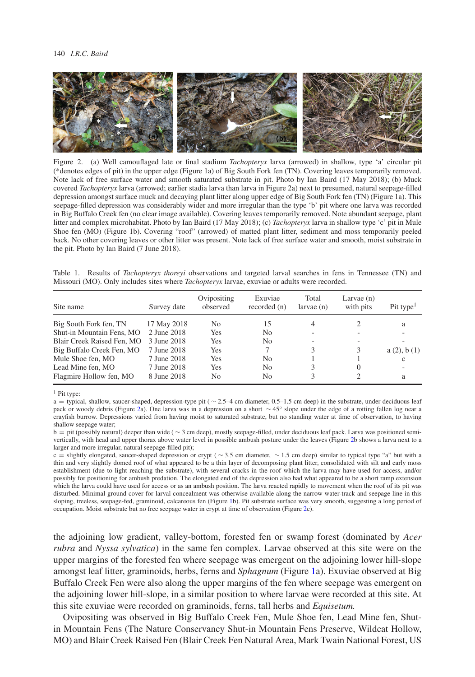#### 140 *I.R.C. Baird*



<span id="page-5-0"></span>Figure 2. (a) Well camouflaged late or final stadium *Tachopteryx* larva (arrowed) in shallow, type 'a' circular pit (\*denotes edges of pit) in the upper edge (Figure 1a) of Big South Fork fen (TN). Covering leaves temporarily removed. Note lack of free surface water and smooth saturated substrate in pit. Photo by Ian Baird (17 May 2018); (b) Muck covered *Tachopteryx* larva (arrowed; earlier stadia larva than larva in Figure 2a) next to presumed, natural seepage-filled depression amongst surface muck and decaying plant litter along upper edge of Big South Fork fen (TN) (Figure 1a). This seepage-filled depression was considerably wider and more irregular than the type 'b' pit where one larva was recorded in Big Buffalo Creek fen (no clear image available). Covering leaves temporarily removed. Note abundant seepage, plant litter and complex microhabitat. Photo by Ian Baird (17 May 2018); (c) *Tachopteryx* larva in shallow type 'c' pit in Mule Shoe fen (MO) (Figure 1b). Covering "roof" (arrowed) of matted plant litter, sediment and moss temporarily peeled back. No other covering leaves or other litter was present. Note lack of free surface water and smooth, moist substrate in the pit. Photo by Ian Baird (7 June 2018).

<span id="page-5-1"></span>Table 1. Results of *Tachopteryx thoreyi* observations and targeted larval searches in fens in Tennessee (TN) and Missouri (MO). Only includes sites where *Tachopteryx* larvae, exuviae or adults were recorded.

| Site name                  | Survey date | Ovipositing<br>observed | Exuviae<br>recorded (n) | Total<br>larvae(n) | Larvae $(n)$<br>with pits   | Pit type <sup>1</sup> |
|----------------------------|-------------|-------------------------|-------------------------|--------------------|-----------------------------|-----------------------|
| Big South Fork fen, TN     | 17 May 2018 | No.                     | 15                      | 4                  |                             | a                     |
| Shut-in Mountain Fens, MO  | 2 June 2018 | Yes                     | No                      |                    |                             |                       |
| Blair Creek Raised Fen, MO | 3 June 2018 | Yes                     | No                      |                    |                             |                       |
| Big Buffalo Creek Fen, MO  | 7 June 2018 | Yes                     |                         | 3                  | 3                           | a(2), b(1)            |
| Mule Shoe fen, MO          | 7 June 2018 | Yes                     | N <sub>0</sub>          |                    |                             | $\mathbf{c}$          |
| Lead Mine fen, MO          | 7 June 2018 | Yes                     | N <sub>0</sub>          |                    | $\Omega$                    |                       |
| Flagmire Hollow fen, MO    | 8 June 2018 | No.                     | N <sub>0</sub>          | 3                  | $\mathcal{D}_{\mathcal{L}}$ | a                     |

<sup>1</sup> Pit type:

a = typical, shallow, saucer-shaped, depression-type pit ( ∼ 2.5–4 cm diameter, 0.5–1.5 cm deep) in the substrate, under deciduous leaf pack or woody debris (Figure [2a](#page-5-0)). One larva was in a depression on a short ∼ 45° slope under the edge of a rotting fallen log near a crayfish burrow. Depressions varied from having moist to saturated substrate, but no standing water at time of observation, to having shallow seepage water;

b = pit (possibly natural) deeper than wide ( ∼ 3 cm deep), mostly seepage-filled, under deciduous leaf pack. Larva was positioned semivertically, with head and upper thorax above water level in possible ambush posture under the leaves (Figure [2b](#page-5-0) shows a larva next to a larger and more irregular, natural seepage-filled pit);

c = slightly elongated, saucer-shaped depression or crypt ( ∼ 3.5 cm diameter, ∼ 1.5 cm deep) similar to typical type "a" but with a thin and very slightly domed roof of what appeared to be a thin layer of decomposing plant litter, consolidated with silt and early moss establishment (due to light reaching the substrate), with several cracks in the roof which the larva may have used for access, and/or possibly for positioning for ambush predation. The elongated end of the depression also had what appeared to be a short ramp extension which the larva could have used for access or as an ambush position. The larva reacted rapidly to movement when the roof of its pit was disturbed. Minimal ground cover for larval concealment was otherwise available along the narrow water-track and seepage line in this sloping, treeless, seepage-fed, graminoid, calcareous fen (Figure [1b](#page-4-0)). Pit substrate surface was very smooth, suggesting a long period of occupation. Moist substrate but no free seepage water in crypt at time of observation (Figure [2c](#page-5-0)).

the adjoining low gradient, valley-bottom, forested fen or swamp forest (dominated by *Acer rubra* and *Nyssa sylvatica*) in the same fen complex. Larvae observed at this site were on the upper margins of the forested fen where seepage was emergent on the adjoining lower hill-slope amongst leaf litter, graminoids, herbs, ferns and *Sphagnum* (Figure [1a](#page-4-0)). Exuviae observed at Big Buffalo Creek Fen were also along the upper margins of the fen where seepage was emergent on the adjoining lower hill-slope, in a similar position to where larvae were recorded at this site. At this site exuviae were recorded on graminoids, ferns, tall herbs and *Equisetum.*

Ovipositing was observed in Big Buffalo Creek Fen, Mule Shoe fen, Lead Mine fen, Shutin Mountain Fens (The Nature Conservancy Shut-in Mountain Fens Preserve, Wildcat Hollow, MO) and Blair Creek Raised Fen (Blair Creek Fen Natural Area, Mark Twain National Forest, US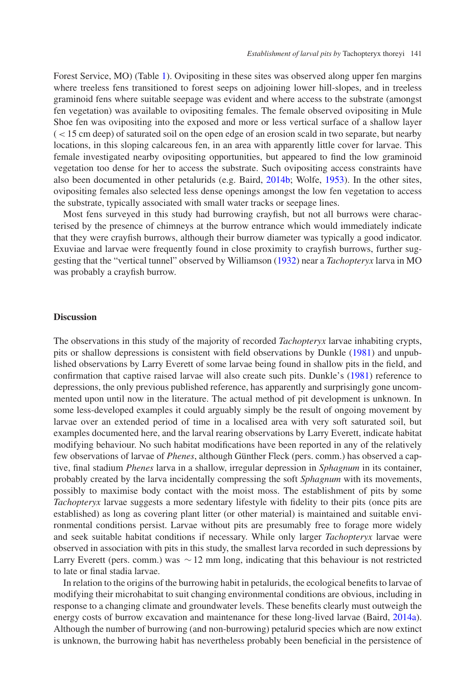Forest Service, MO) (Table [1\)](#page-5-1). Ovipositing in these sites was observed along upper fen margins where treeless fens transitioned to forest seeps on adjoining lower hill-slopes, and in treeless graminoid fens where suitable seepage was evident and where access to the substrate (amongst fen vegetation) was available to ovipositing females. The female observed ovipositing in Mule Shoe fen was ovipositing into the exposed and more or less vertical surface of a shallow layer (*<*15 cm deep) of saturated soil on the open edge of an erosion scald in two separate, but nearby locations, in this sloping calcareous fen, in an area with apparently little cover for larvae. This female investigated nearby ovipositing opportunities, but appeared to find the low graminoid vegetation too dense for her to access the substrate. Such ovipositing access constraints have also been documented in other petalurids (e.g. Baird, [2014b;](#page-10-26) Wolfe, [1953\)](#page-11-10). In the other sites, ovipositing females also selected less dense openings amongst the low fen vegetation to access the substrate, typically associated with small water tracks or seepage lines.

Most fens surveyed in this study had burrowing crayfish, but not all burrows were characterised by the presence of chimneys at the burrow entrance which would immediately indicate that they were crayfish burrows, although their burrow diameter was typically a good indicator. Exuviae and larvae were frequently found in close proximity to crayfish burrows, further suggesting that the "vertical tunnel" observed by Williamson [\(1932\)](#page-11-14) near a *Tachopteryx* larva in MO was probably a crayfish burrow.

# **Discussion**

The observations in this study of the majority of recorded *Tachopteryx* larvae inhabiting crypts, pits or shallow depressions is consistent with field observations by Dunkle [\(1981\)](#page-10-8) and unpublished observations by Larry Everett of some larvae being found in shallow pits in the field, and confirmation that captive raised larvae will also create such pits. Dunkle's [\(1981\)](#page-10-8) reference to depressions, the only previous published reference, has apparently and surprisingly gone uncommented upon until now in the literature. The actual method of pit development is unknown. In some less-developed examples it could arguably simply be the result of ongoing movement by larvae over an extended period of time in a localised area with very soft saturated soil, but examples documented here, and the larval rearing observations by Larry Everett, indicate habitat modifying behaviour. No such habitat modifications have been reported in any of the relatively few observations of larvae of *Phenes*, although Günther Fleck (pers. comm.) has observed a captive, final stadium *Phenes* larva in a shallow, irregular depression in *Sphagnum* in its container, probably created by the larva incidentally compressing the soft *Sphagnum* with its movements, possibly to maximise body contact with the moist moss. The establishment of pits by some *Tachopteryx* larvae suggests a more sedentary lifestyle with fidelity to their pits (once pits are established) as long as covering plant litter (or other material) is maintained and suitable environmental conditions persist. Larvae without pits are presumably free to forage more widely and seek suitable habitat conditions if necessary. While only larger *Tachopteryx* larvae were observed in association with pits in this study, the smallest larva recorded in such depressions by Larry Everett (pers. comm.) was ∼12 mm long, indicating that this behaviour is not restricted to late or final stadia larvae.

In relation to the origins of the burrowing habit in petalurids, the ecological benefits to larvae of modifying their microhabitat to suit changing environmental conditions are obvious, including in response to a changing climate and groundwater levels. These benefits clearly must outweigh the energy costs of burrow excavation and maintenance for these long-lived larvae (Baird, [2014a\)](#page-10-0). Although the number of burrowing (and non-burrowing) petalurid species which are now extinct is unknown, the burrowing habit has nevertheless probably been beneficial in the persistence of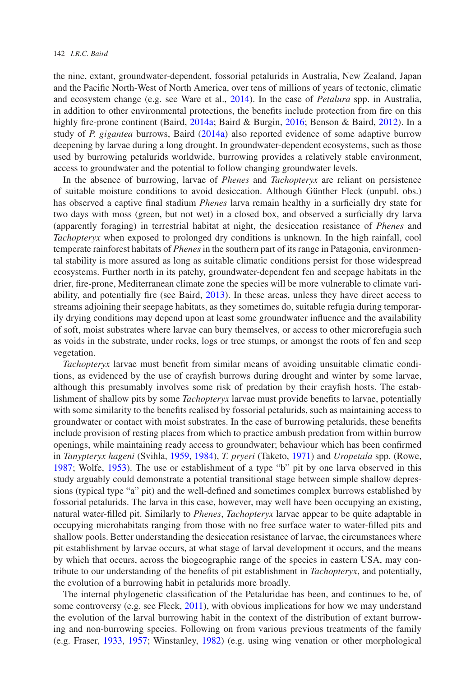the nine, extant, groundwater-dependent, fossorial petalurids in Australia, New Zealand, Japan and the Pacific North-West of North America, over tens of millions of years of tectonic, climatic and ecosystem change (e.g. see Ware et al., [2014\)](#page-11-1). In the case of *Petalura* spp. in Australia, in addition to other environmental protections, the benefits include protection from fire on this highly fire-prone continent (Baird, [2014a;](#page-10-0) Baird & Burgin, [2016;](#page-10-4) Benson & Baird, [2012\)](#page-10-19). In a study of *P. gigantea* burrows, Baird [\(2014a\)](#page-10-0) also reported evidence of some adaptive burrow deepening by larvae during a long drought. In groundwater-dependent ecosystems, such as those used by burrowing petalurids worldwide, burrowing provides a relatively stable environment, access to groundwater and the potential to follow changing groundwater levels.

In the absence of burrowing, larvae of *Phenes* and *Tachopteryx* are reliant on persistence of suitable moisture conditions to avoid desiccation. Although Günther Fleck (unpubl. obs.) has observed a captive final stadium *Phenes* larva remain healthy in a surficially dry state for two days with moss (green, but not wet) in a closed box, and observed a surficially dry larva (apparently foraging) in terrestrial habitat at night, the desiccation resistance of *Phenes* and *Tachopteryx* when exposed to prolonged dry conditions is unknown. In the high rainfall, cool temperate rainforest habitats of *Phenes* in the southern part of its range in Patagonia, environmental stability is more assured as long as suitable climatic conditions persist for those widespread ecosystems. Further north in its patchy, groundwater-dependent fen and seepage habitats in the drier, fire-prone, Mediterranean climate zone the species will be more vulnerable to climate variability, and potentially fire (see Baird, [2013\)](#page-10-7). In these areas, unless they have direct access to streams adjoining their seepage habitats, as they sometimes do, suitable refugia during temporarily drying conditions may depend upon at least some groundwater influence and the availability of soft, moist substrates where larvae can bury themselves, or access to other microrefugia such as voids in the substrate, under rocks, logs or tree stumps, or amongst the roots of fen and seep vegetation.

*Tachopteryx* larvae must benefit from similar means of avoiding unsuitable climatic conditions, as evidenced by the use of crayfish burrows during drought and winter by some larvae, although this presumably involves some risk of predation by their crayfish hosts. The establishment of shallow pits by some *Tachopteryx* larvae must provide benefits to larvae, potentially with some similarity to the benefits realised by fossorial petalurids, such as maintaining access to groundwater or contact with moist substrates. In the case of burrowing petalurids, these benefits include provision of resting places from which to practice ambush predation from within burrow openings, while maintaining ready access to groundwater; behaviour which has been confirmed in *Tanypteryx hageni* (Svihla, [1959,](#page-11-2) [1984\)](#page-11-20), *T. pryeri* (Taketo, [1971\)](#page-11-4) and *Uropetala* spp. (Rowe, [1987;](#page-10-3) Wolfe, [1953\)](#page-11-10). The use or establishment of a type "b" pit by one larva observed in this study arguably could demonstrate a potential transitional stage between simple shallow depressions (typical type "a" pit) and the well-defined and sometimes complex burrows established by fossorial petalurids. The larva in this case, however, may well have been occupying an existing, natural water-filled pit. Similarly to *Phenes*, *Tachopteryx* larvae appear to be quite adaptable in occupying microhabitats ranging from those with no free surface water to water-filled pits and shallow pools. Better understanding the desiccation resistance of larvae, the circumstances where pit establishment by larvae occurs, at what stage of larval development it occurs, and the means by which that occurs, across the biogeographic range of the species in eastern USA, may contribute to our understanding of the benefits of pit establishment in *Tachopteryx*, and potentially, the evolution of a burrowing habit in petalurids more broadly.

The internal phylogenetic classification of the Petaluridae has been, and continues to be, of some controversy (e.g. see Fleck, [2011\)](#page-10-22), with obvious implications for how we may understand the evolution of the larval burrowing habit in the context of the distribution of extant burrowing and non-burrowing species. Following on from various previous treatments of the family (e.g. Fraser, [1933,](#page-10-27) [1957;](#page-10-28) Winstanley, [1982\)](#page-11-9) (e.g. using wing venation or other morphological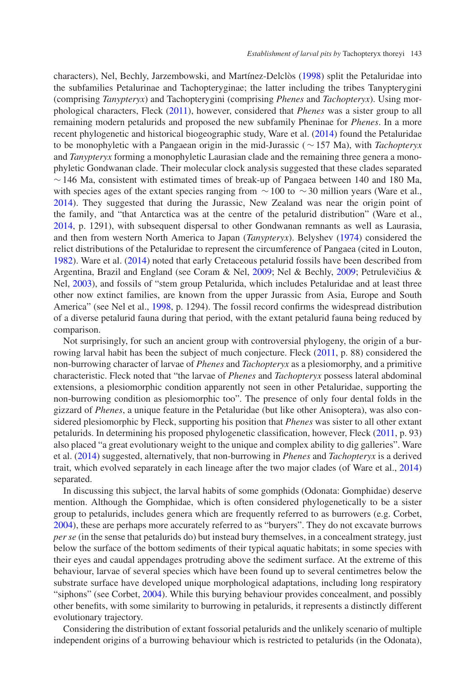characters), Nel, Bechly, Jarzembowski, and Martínez-Delclòs [\(1998\)](#page-10-29) split the Petaluridae into the subfamilies Petalurinae and Tachopteryginae; the latter including the tribes Tanypterygini (comprising *Tanypteryx*) and Tachopterygini (comprising *Phenes* and *Tachopteryx*). Using morphological characters, Fleck [\(2011\)](#page-10-22), however, considered that *Phenes* was a sister group to all remaining modern petalurids and proposed the new subfamily Pheninae for *Phenes*. In a more recent phylogenetic and historical biogeographic study, Ware et al. [\(2014\)](#page-11-1) found the Petaluridae to be monophyletic with a Pangaean origin in the mid-Jurassic (∼157 Ma), with *Tachopteryx* and *Tanypteryx* forming a monophyletic Laurasian clade and the remaining three genera a monophyletic Gondwanan clade. Their molecular clock analysis suggested that these clades separated  $\sim$  146 Ma, consistent with estimated times of break-up of Pangaea between 140 and 180 Ma, with species ages of the extant species ranging from  $\sim$  100 to  $\sim$  30 million years (Ware et al., [2014\)](#page-11-1). They suggested that during the Jurassic, New Zealand was near the origin point of the family, and "that Antarctica was at the centre of the petalurid distribution" (Ware et al., [2014,](#page-11-1) p. 1291), with subsequent dispersal to other Gondwanan remnants as well as Laurasia, and then from western North America to Japan (*Tanypteryx*). Belyshev [\(1974\)](#page-10-30) considered the relict distributions of the Petaluridae to represent the circumference of Pangaea (cited in Louton, [1982\)](#page-10-9). Ware et al. [\(2014\)](#page-11-1) noted that early Cretaceous petalurid fossils have been described from Argentina, Brazil and England (see Coram & Nel, [2009;](#page-10-32) Nel & Bechly, 2009; Petrulevičius & Nel, [2003\)](#page-10-33), and fossils of "stem group Petalurida, which includes Petaluridae and at least three other now extinct families, are known from the upper Jurassic from Asia, Europe and South America" (see Nel et al., [1998,](#page-10-29) p. 1294). The fossil record confirms the widespread distribution of a diverse petalurid fauna during that period, with the extant petalurid fauna being reduced by comparison.

Not surprisingly, for such an ancient group with controversial phylogeny, the origin of a burrowing larval habit has been the subject of much conjecture. Fleck [\(2011,](#page-10-22) p. 88) considered the non-burrowing character of larvae of *Phenes* and *Tachopteryx* as a plesiomorphy, and a primitive characteristic. Fleck noted that "the larvae of *Phenes* and *Tachopteryx* possess lateral abdominal extensions, a plesiomorphic condition apparently not seen in other Petaluridae, supporting the non-burrowing condition as plesiomorphic too". The presence of only four dental folds in the gizzard of *Phenes*, a unique feature in the Petaluridae (but like other Anisoptera), was also considered plesiomorphic by Fleck, supporting his position that *Phenes* was sister to all other extant petalurids. In determining his proposed phylogenetic classification, however, Fleck [\(2011,](#page-10-22) p. 93) also placed "a great evolutionary weight to the unique and complex ability to dig galleries". Ware et al. [\(2014\)](#page-11-1) suggested, alternatively, that non-burrowing in *Phenes* and *Tachopteryx* is a derived trait, which evolved separately in each lineage after the two major clades (of Ware et al., [2014\)](#page-11-1) separated.

In discussing this subject, the larval habits of some gomphids (Odonata: Gomphidae) deserve mention. Although the Gomphidae, which is often considered phylogenetically to be a sister group to petalurids, includes genera which are frequently referred to as burrowers (e.g. Corbet, [2004\)](#page-10-23), these are perhaps more accurately referred to as "buryers". They do not excavate burrows *per se* (in the sense that petalurids do) but instead bury themselves, in a concealment strategy, just below the surface of the bottom sediments of their typical aquatic habitats; in some species with their eyes and caudal appendages protruding above the sediment surface. At the extreme of this behaviour, larvae of several species which have been found up to several centimetres below the substrate surface have developed unique morphological adaptations, including long respiratory "siphons" (see Corbet, [2004\)](#page-10-23). While this burying behaviour provides concealment, and possibly other benefits, with some similarity to burrowing in petalurids, it represents a distinctly different evolutionary trajectory.

Considering the distribution of extant fossorial petalurids and the unlikely scenario of multiple independent origins of a burrowing behaviour which is restricted to petalurids (in the Odonata),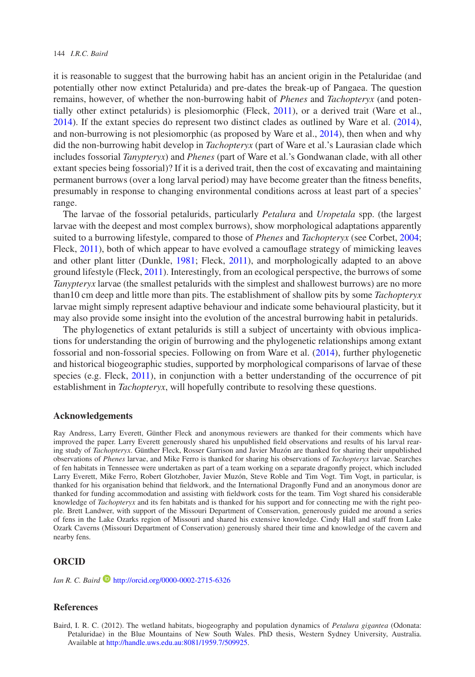#### 144 *I.R.C. Baird*

it is reasonable to suggest that the burrowing habit has an ancient origin in the Petaluridae (and potentially other now extinct Petalurida) and pre-dates the break-up of Pangaea. The question remains, however, of whether the non-burrowing habit of *Phenes* and *Tachopteryx* (and potentially other extinct petalurids) is plesiomorphic (Fleck, [2011\)](#page-10-22), or a derived trait (Ware et al., [2014\)](#page-11-1). If the extant species do represent two distinct clades as outlined by Ware et al. [\(2014\)](#page-11-1), and non-burrowing is not plesiomorphic (as proposed by Ware et al., [2014\)](#page-11-1), then when and why did the non-burrowing habit develop in *Tachopteryx* (part of Ware et al.'s Laurasian clade which includes fossorial *Tanypteryx*) and *Phenes* (part of Ware et al.'s Gondwanan clade, with all other extant species being fossorial)? If it is a derived trait, then the cost of excavating and maintaining permanent burrows (over a long larval period) may have become greater than the fitness benefits, presumably in response to changing environmental conditions across at least part of a species' range.

The larvae of the fossorial petalurids, particularly *Petalura* and *Uropetala* spp. (the largest larvae with the deepest and most complex burrows), show morphological adaptations apparently suited to a burrowing lifestyle, compared to those of *Phenes* and *Tachopteryx* (see Corbet, [2004;](#page-10-23) Fleck, [2011\)](#page-10-22), both of which appear to have evolved a camouflage strategy of mimicking leaves and other plant litter (Dunkle, [1981;](#page-10-8) Fleck, [2011\)](#page-10-22), and morphologically adapted to an above ground lifestyle (Fleck, [2011\)](#page-10-22). Interestingly, from an ecological perspective, the burrows of some *Tanypteryx* larvae (the smallest petalurids with the simplest and shallowest burrows) are no more than10 cm deep and little more than pits. The establishment of shallow pits by some *Tachopteryx* larvae might simply represent adaptive behaviour and indicate some behavioural plasticity, but it may also provide some insight into the evolution of the ancestral burrowing habit in petalurids.

The phylogenetics of extant petalurids is still a subject of uncertainty with obvious implications for understanding the origin of burrowing and the phylogenetic relationships among extant fossorial and non-fossorial species. Following on from Ware et al. [\(2014\)](#page-11-1), further phylogenetic and historical biogeographic studies, supported by morphological comparisons of larvae of these species (e.g. Fleck, [2011\)](#page-10-22), in conjunction with a better understanding of the occurrence of pit establishment in *Tachopteryx*, will hopefully contribute to resolving these questions.

#### **Acknowledgements**

Ray Andress, Larry Everett, Günther Fleck and anonymous reviewers are thanked for their comments which have improved the paper. Larry Everett generously shared his unpublished field observations and results of his larval rearing study of *Tachopteryx*. Günther Fleck, Rosser Garrison and Javier Muzón are thanked for sharing their unpublished observations of *Phenes* larvae, and Mike Ferro is thanked for sharing his observations of *Tachopteryx* larvae. Searches of fen habitats in Tennessee were undertaken as part of a team working on a separate dragonfly project, which included Larry Everett, Mike Ferro, Robert Glotzhober, Javier Muzón, Steve Roble and Tim Vogt. Tim Vogt, in particular, is thanked for his organisation behind that fieldwork, and the International Dragonfly Fund and an anonymous donor are thanked for funding accommodation and assisting with fieldwork costs for the team. Tim Vogt shared his considerable knowledge of *Tachopteryx* and its fen habitats and is thanked for his support and for connecting me with the right people. Brett Landwer, with support of the Missouri Department of Conservation, generously guided me around a series of fens in the Lake Ozarks region of Missouri and shared his extensive knowledge. Cindy Hall and staff from Lake Ozark Caverns (Missouri Department of Conservation) generously shared their time and knowledge of the cavern and nearby fens.

## **ORCID**

*Ian R. C. Baird* **b** <http://orcid.org/0000-0002-2715-6326>

#### **References**

<span id="page-9-0"></span>Baird, I. R. C. (2012). The wetland habitats, biogeography and population dynamics of *Petalura gigantea* (Odonata: Petaluridae) in the Blue Mountains of New South Wales. PhD thesis, Western Sydney University, Australia. Available at [http://handle.uws.edu.au:8081/1959.7/509925.](http://handle.uws.edu.au:8081/1959.7/509925)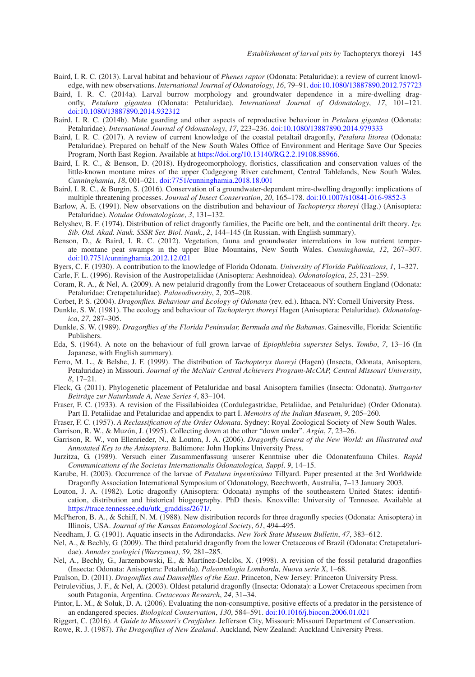- <span id="page-10-7"></span>Baird, I. R. C. (2013). Larval habitat and behaviour of *Phenes raptor* (Odonata: Petaluridae): a review of current knowledge, with new observations. *International Journal of Odonatology*, *16*, 79–91. [doi:10.1080/13887890.2012.757723](https://doi.org/10.1080/13887890.2012.757723)
- <span id="page-10-0"></span>Baird, I. R. C. (2014a). Larval burrow morphology and groundwater dependence in a mire-dwelling dragonfly, *Petalura gigantea* (Odonata: Petaluridae). *International Journal of Odonatology*, *17*, 101–121. [doi:10.1080/13887890.2014.932312](https://doi.org/10.1080/13887890.2014.932312)
- <span id="page-10-26"></span>Baird, I. R. C. (2014b). Mate guarding and other aspects of reproductive behaviour in *Petalura gigantea* (Odonata: Petaluridae). *International Journal of Odonatology*, *17*, 223–236. [doi:10.1080/13887890.2014.979333](https://doi.org/10.1080/13887890.2014.979333)
- <span id="page-10-1"></span>Baird, I. R. C. (2017). A review of current knowledge of the coastal petaltail dragonfly, *Petalura litorea* (Odonata: Petaluridae). Prepared on behalf of the New South Wales Office of Environment and Heritage Save Our Species Program, North East Region. Available at [https://doi.org/10.13140/RG.2.2.19108.88966.](https://doi.org/10.13140/RG.2.2.19108.88966)
- <span id="page-10-18"></span>Baird, I. R. C., & Benson, D. (2018). Hydrogeomorphology, floristics, classification and conservation values of the little-known montane mires of the upper Cudgegong River catchment, Central Tablelands, New South Wales. *Cunninghamia*, *18*, 001–021. [doi:7751/cunninghamia.2018.18.001](https://doi.org/7751/cunninghamia.2018.18.001)
- <span id="page-10-4"></span>Baird, I. R. C., & Burgin, S. (2016). Conservation of a groundwater-dependent mire-dwelling dragonfly: implications of multiple threatening processes. *Journal of Insect Conservation*, *20*, 165–178. [doi:10.1007/s10841-016-9852-3](https://doi.org/10.1007/s10841-016-9852-3)
- <span id="page-10-11"></span>Barlow, A. E. (1991). New observations on the distribution and behaviour of *Tachopteryx thoreyi* (Hag.) (Anisoptera: Petaluridae). *Notulae Odonatologicae*, *3*, 131–132.
- <span id="page-10-30"></span>Belyshev, B. F. (1974). Distribution of relict dragonfly families, the Pacific ore belt, and the continental drift theory. *Izv. Sib. Otd. Akad. Nauk. SSSR Ser. Biol. Nauk.*, *2*, 144–145 (In Russian, with English summary).
- <span id="page-10-19"></span>Benson, D., & Baird, I. R. C. (2012). Vegetation, fauna and groundwater interrelations in low nutrient temperate montane peat swamps in the upper Blue Mountains, New South Wales. *Cunninghamia*, *12*, 267–307. [doi:10.7751/cunninghamia.2012.12.021](https://doi.org/10.7751/cunninghamia.2012.12.021)
- Byers, C. F. (1930). A contribution to the knowledge of Florida Odonata. *University of Florida Publications*, *1*, 1–327.

<span id="page-10-14"></span>Carle, F. L. (1996). Revision of the Austropetaliidae (Anisoptera: Aeshnoidea). *Odonatologica*, *25*, 231–259.

- <span id="page-10-31"></span><span id="page-10-25"></span>Coram, R. A., & Nel, A. (2009). A new petalurid dragonfly from the Lower Cretaceaous of southern England (Odonata: Petaluridae: Cretapetaluridae). *Palaeodiversity*, *2*, 205–208.
- Corbet, P. S. (2004). *Dragonflies. Behaviour and Ecology of Odonata* (rev. ed.). Ithaca, NY: Cornell University Press.
- <span id="page-10-23"></span><span id="page-10-8"></span>Dunkle, S. W. (1981). The ecology and behaviour of *Tachopteryx thoreyi* Hagen (Anisoptera: Petaluridae). *Odonatologica*, *27*, 287–305.
- <span id="page-10-12"></span>Dunkle, S. W. (1989). *Dragonflies of the Florida Peninsular, Bermuda and the Bahamas*. Gainesville, Florida: Scientific Publishers.
- <span id="page-10-24"></span>Eda, S. (1964). A note on the behaviour of full grown larvae of *Epiophlebia superstes* Selys. *Tombo*, *7*, 13–16 (In Japanese, with English summary).
- <span id="page-10-13"></span>Ferro, M. L., & Belshe, J. F. (1999). The distribution of *Tachopteryx thoreyi* (Hagen) (Insecta, Odonata, Anisoptera, Petaluridae) in Missouri. *Journal of the McNair Central Achievers Program-McCAP, Central Missouri University*, *8*, 17–21.
- <span id="page-10-22"></span>Fleck, G. (2011). Phylogenetic placement of Petaluridae and basal Anisoptera families (Insecta: Odonata). *Stuttgarter Beiträge zur Naturkunde A, Neue Series 4*, 83–104.
- <span id="page-10-27"></span>Fraser, F. C. (1933). A revision of the Fissilabioidea (Cordulegastridae, Petaliidae, and Petaluridae) (Order Odonata). Part II. Petaliidae and Petaluridae and appendix to part I. *Memoirs of the Indian Museum*, *9*, 205–260.
- Fraser, F. C. (1957). *A Reclassification of the Order Odonata*. Sydney: Royal Zoological Society of New South Wales.
- <span id="page-10-28"></span>Garrison, R. W., & Muzón, J. (1995). Collecting down at the other "down under". *Argia*, *7*, 23–26.
- <span id="page-10-21"></span><span id="page-10-6"></span>Garrison, R. W., von Ellenrieder, N., & Louton, J. A. (2006). *Dragonfly Genera of the New World: an Illustrated and Annotated Key to the Anisoptera*. Baltimore: John Hopkins University Press.
- <span id="page-10-20"></span>Jurzitza, G. (1989). Versuch einer Zusammenfassung unserer Kenntnise uber die Odonatenfauna Chiles. *Rapid Communications of the Societas Internationalis Odonatologica, Suppl*. *9*, 14–15.
- <span id="page-10-2"></span>Karube, H. (2003). Occurrence of the larvae of *Petalura ingentissima* Tillyard. Paper presented at the 3rd Worldwide Dragonfly Association International Symposium of Odonatology, Beechworth, Australia, 7–13 January 2003.
- <span id="page-10-9"></span>Louton, J. A. (1982). Lotic dragonfly (Anisoptera: Odonata) nymphs of the southeastern United States: identification, distribution and historical biogeography. PhD thesis. Knoxville: University of Tennesee. Available at [https://trace.tennessee.edu/utk\\_graddiss/2671/.](https://trace.tennessee.edu/utk_graddiss/2671/)
- <span id="page-10-10"></span>McPheron, B. A., & Schiff, N. M. (1988). New distribution records for three dragonfly species (Odonata: Anisoptera) in Illinois, USA. *Journal of the Kansas Entomological Society*, *61*, 494–495.
- Needham, J. G. (1901). Aquatic insects in the Adirondacks. *New York State Museum Bulletin*, *47*, 383–612.
- <span id="page-10-32"></span><span id="page-10-15"></span>Nel, A., & Bechly, G. (2009). The third petalurid dragonfly from the lower Cretaceous of Brazil (Odonata: Cretapetaluridae). *Annales zoologici (Warszawa)*, *59*, 281–285.
- <span id="page-10-29"></span>Nel, A., Bechly, G., Jarzembowski, E., & Martínez-Delclòs, X. (1998). A revision of the fossil petalurid dragonflies (Insecta: Odonata: Anisoptera: Petalurida). *Paleontologia Lombarda, Nuova serie X*, 1–68.
- Paulson, D. (2011). *Dragonflies and Damselflies of the East*. Princeton, New Jersey: Princeton University Press.
- <span id="page-10-33"></span><span id="page-10-5"></span>Petrulevičius, J. F., & Nel, A. (2003). Oldest petalurid dragonfly (Insecta: Odonata): a Lower Cretaceous specimen from south Patagonia, Argentina. *Cretaceous Research*, *24*, 31–34.
- <span id="page-10-17"></span>Pintor, L. M., & Soluk, D. A. (2006). Evaluating the non-consumptive, positive effects of a predator in the persistence of an endangered species. *Biological Conservation*, *130*, 584–591. [doi:10.1016/j.biocon.2006.01.021](https://doi.org/10.1016/j.biocon.2006.01.021)
- Riggert, C. (2016). *A Guide to Missouri's Crayfishes*. Jefferson City, Missouri: Missouri Department of Conservation.
- <span id="page-10-16"></span><span id="page-10-3"></span>Rowe, R. J. (1987). *The Dragonflies of New Zealand*. Auckland, New Zealand: Auckland University Press.